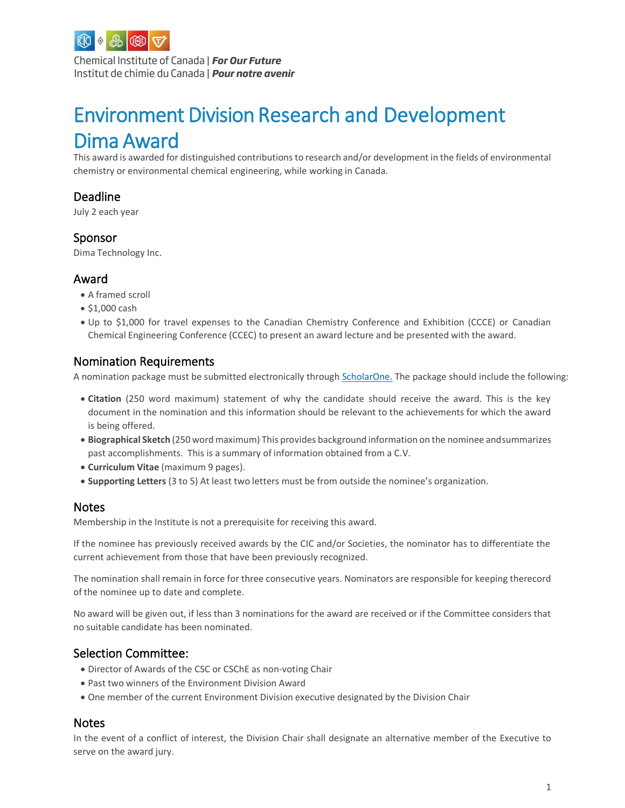

Chemical Institute of Canada | For Our Future Institut de chimie du Canada | Pour notre avenir

# Environment Division Research and Development Dima Award

This award is awarded for distinguished contributions to research and/or development in the fields of environmental chemistry or environmental chemical engineering, while working in Canada.

# Deadline

July 2 each year

#### Sponsor

Dima Technology Inc.

### Award

- A framed scroll
- \$1,000 cash
- Up to \$1,000 for travel expenses to the Canadian Chemistry Conference and Exhibition (CCCE) or Canadian Chemical Engineering Conference (CCEC) to present an award lecture and be presented with the award.

# Nomination Requirements

A nomination package must be submitted electronically through [ScholarOne.](http://mc04.manuscriptcentral.com/cicawards) The package should include the following:

- **Citation** (250 word maximum) statement of why the candidate should receive the award. This is the key document in the nomination and this information should be relevant to the achievements for which the award is being offered.
- **Biographical Sketch** (250 word maximum) This provides background information on the nominee andsummarizes past accomplishments. This is a summary of information obtained from a C.V.
- **Curriculum Vitae** (maximum 9 pages).
- **Supporting Letters** (3 to 5) At least two letters must be from outside the nominee's organization.

#### **Notes**

Membership in the Institute is not a prerequisite for receiving this award.

If the nominee has previously received awards by the CIC and/or Societies, the nominator has to differentiate the current achievement from those that have been previously recognized.

The nomination shall remain in force for three consecutive years. Nominators are responsible for keeping therecord of the nominee up to date and complete.

No award will be given out, if less than 3 nominations for the award are received or if the Committee considers that no suitable candidate has been nominated.

### Selection Committee:

- Director of Awards of the CSC or CSChE as non-voting Chair
- Past two winners of the Environment Division Award
- One member of the current Environment Division executive designated by the Division Chair

#### Notes

In the event of a conflict of interest, the Division Chair shall designate an alternative member of the Executive to serve on the award jury.